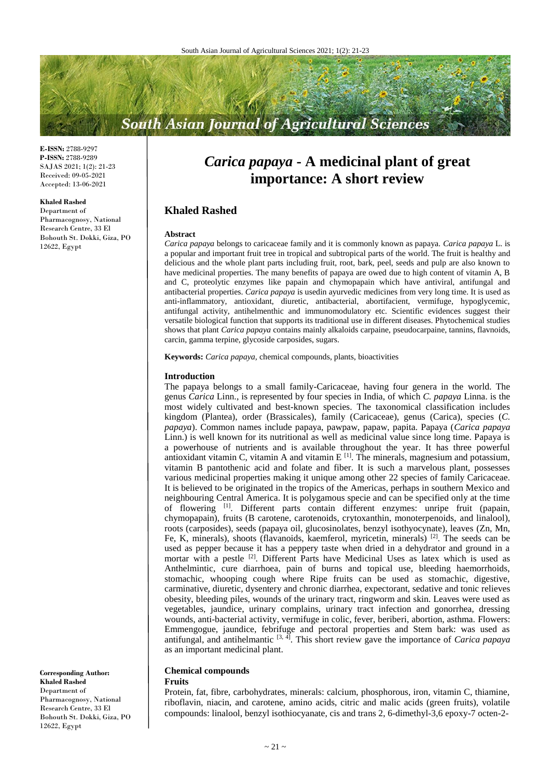# **South Asian Journal of Agricultural Sciences**

**E-ISSN:** 2788-9297 **P-ISSN:** 2788-9289 SAJAS 2021; 1(2): 21-23 Received: 09-05-2021 Accepted: 13-06-2021

#### **Khaled Rashed**

Department of Pharmacognosy, National Research Centre, 33 El Bohouth St. Dokki, Giza, PO 12622, Egypt

*Carica papaya* **- A medicinal plant of great importance: A short review**

# **Khaled Rashed**

#### **Abstract**

*Carica papaya* belongs to caricaceae family and it is commonly known as papaya. *Carica papaya* L. is a popular and important fruit tree in tropical and subtropical parts of the world. The fruit is healthy and delicious and the whole plant parts including fruit, root, bark, peel, seeds and pulp are also known to have medicinal properties. The many benefits of papaya are owed due to high content of vitamin A, B and C, proteolytic enzymes like papain and chymopapain which have antiviral, antifungal and antibacterial properties. *Carica papaya* is usedin ayurvedic medicines from very long time. It is used as anti-inflammatory, antioxidant, diuretic, antibacterial, abortifacient, vermifuge, hypoglycemic, antifungal activity, antihelmenthic and immunomodulatory etc. Scientific evidences suggest their versatile biological function that supports its traditional use in different diseases. Phytochemical studies shows that plant *Carica papaya* contains mainly alkaloids carpaine, pseudocarpaine, tannins, flavnoids, carcin, gamma terpine, glycoside carposides, sugars.

**Keywords:** *Carica papaya,* chemical compounds, plants, bioactivities

#### **Introduction**

The papaya belongs to a small family-Caricaceae, having four genera in the world. The genus *Carica* Linn., is represented by four species in India, of which *C. papaya* Linna. is the most widely cultivated and best-known species. The taxonomical classification includes kingdom (Plantea), order (Brassicales), family (Caricaceae), genus (Carica), species (*C. papaya*). Common names include papaya, pawpaw, papaw, papita. Papaya (*Carica papaya* Linn.) is well known for its nutritional as well as medicinal value since long time. Papaya is a powerhouse of nutrients and is available throughout the year. It has three powerful antioxidant vitamin C, vitamin A and vitamin  $E^{[1]}$ . The minerals, magnesium and potassium, vitamin B pantothenic acid and folate and fiber. It is such a marvelous plant, possesses various medicinal properties making it unique among other 22 species of family Caricaceae. It is believed to be originated in the tropics of the Americas, perhaps in southern Mexico and neighbouring Central America. It is polygamous specie and can be specified only at the time of flowering <sup>[1]</sup>. Different parts contain different enzymes: unripe fruit (papain, chymopapain), fruits (B carotene, carotenoids, crytoxanthin, monoterpenoids, and linalool), roots (carposides), seeds (papaya oil, glucosinolates, benzyl isothyocynate), leaves (Zn, Mn, Fe, K, minerals), shoots (flavanoids, kaemferol, myricetin, minerals) <sup>[2]</sup>. The seeds can be used as pepper because it has a peppery taste when dried in a dehydrator and ground in a mortar with a pestle <sup>[2]</sup>. Different Parts have Medicinal Uses as latex which is used as Anthelmintic, cure diarrhoea, pain of burns and topical use, bleeding haemorrhoids, stomachic, whooping cough where Ripe fruits can be used as stomachic, digestive, carminative, diuretic, dysentery and chronic diarrhea, expectorant, sedative and tonic relieves obesity, bleeding piles, wounds of the urinary tract, ringworm and skin. Leaves were used as vegetables, jaundice, urinary complains, urinary tract infection and gonorrhea, dressing wounds, anti-bacterial activity, vermifuge in colic, fever, beriberi, abortion, asthma. Flowers: Emmengogue, jaundice, febrifuge and pectoral properties and Stem bark: was used as antifungal, and antihelmantic [3, 4] . This short review gave the importance of *Carica papaya* as an important medicinal plant.

# **Chemical compounds**

#### **Fruits**

Protein, fat, fibre, carbohydrates, minerals: calcium, phosphorous, iron, vitamin C, thiamine, riboflavin, niacin, and carotene, amino acids, citric and malic acids (green fruits), volatile compounds: linalool, benzyl isothiocyanate, cis and trans 2, 6-dimethyl-3,6 epoxy-7 octen-2-

**Corresponding Author: Khaled Rashed** Department of Pharmacognosy, National Research Centre, 33 El Bohouth St. Dokki, Giza, PO 12622, Egypt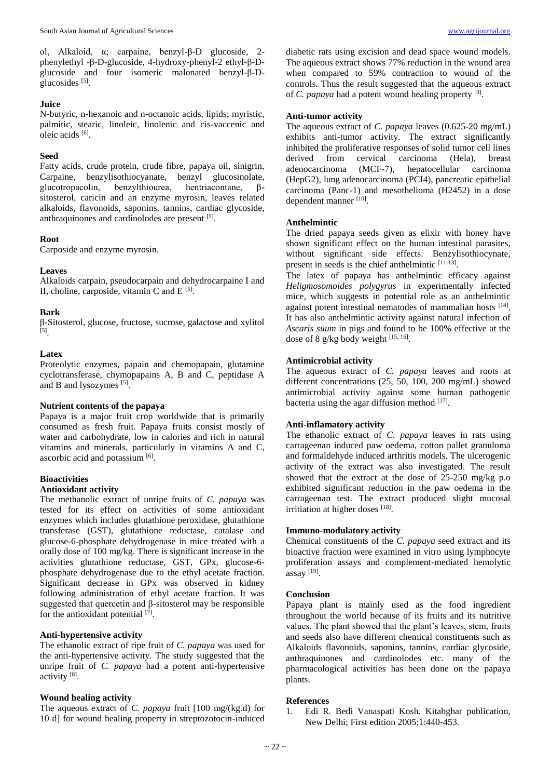ol, Alkaloid, α; carpaine, benzyl-β-D glucoside, 2 phenylethyl -β-D-glucoside, 4-hydroxy-phenyl-2 ethyl-β-Dglucoside and four isomeric malonated benzyl-β-Dglucosides<sup>[5]</sup>.

## **Juice**

N-butyric, n-hexanoic and n-octanoic acids, lipids; myristic, palmitic, stearic, linoleic, linolenic and cis-vaccenic and oleic acids [6].

## **Seed**

Fatty acids, crude protein, crude fibre, papaya oil, sinigrin, Carpaine, benzylisothiocyanate, benzyl glucosinolate, benzylthiourea, hentriacontane, βsitosterol, caricin and an enzyme myrosin, leaves related alkaloids, flavonoids, saponins, tannins, cardiac glycoside, anthraquinones and cardinolodes are present [5].

# **Root**

Carposide and enzyme myrosin.

### **Leaves**

Alkaloids carpain, pseudocarpain and dehydrocarpaine I and II, choline, carposide, vitamin C and  $E^{[5]}$ .

# **Bark**

β-Sitosterol, glucose, fructose, sucrose, galactose and xylitol [5] .

### **Latex**

Proteolytic enzymes, papain and chemopapain, glutamine cyclotransferase, chymopapains A, B and C, peptidase A and B and lysozymes [5].

### **Nutrient contents of the papaya**

Papaya is a major fruit crop worldwide that is primarily consumed as fresh fruit. Papaya fruits consist mostly of water and carbohydrate, low in calories and rich in natural vitamins and minerals, particularly in vitamins A and C, ascorbic acid and potassium [6].

### **Bioactivities**

### **Antioxidant activity**

The methanolic extract of unripe fruits of *C. papaya* was tested for its effect on activities of some antioxidant enzymes which includes glutathione peroxidase, glutathione transferase (GST), glutathione reductase, catalase and glucose-6-phosphate dehydrogenase in mice treated with a orally dose of 100 mg/kg. There is significant increase in the activities glutathione reductase, GST, GPx, glucose-6 phosphate dehydrogenase due to the ethyl acetate fraction. Significant decrease in GPx was observed in kidney following administration of ethyl acetate fraction. It was suggested that quercetin and β-sitosterol may be responsible for the antioxidant potential [7].

## **Anti-hypertensive activity**

The ethanolic extract of ripe fruit of *C. papaya* was used for the anti-hypertensive activity. The study suggested that the unripe fruit of *C. papaya* had a potent anti-hypertensive activity<sup>[8]</sup>.

### **Wound healing activity**

The aqueous extract of *C. papaya* fruit [100 mg/(kg.d) for 10 d] for wound healing property in streptozotocin-induced

diabetic rats using excision and dead space wound models. The aqueous extract shows 77% reduction in the wound area when compared to 59% contraction to wound of the controls. Thus the result suggested that the aqueous extract of *C. papaya* had a potent wound healing property [9].

## **Anti-tumor activity**

The aqueous extract of *C. papaya* leaves (0.625-20 mg/mL) exhibits anti-tumor activity. The extract significantly inhibited the proliferative responses of solid tumor cell lines derived from cervical carcinoma (Hela), breast adenocarcinoma (MCF-7), hepatocellular carcinoma (HepG2), lung adenocarcinoma (PCI4), pancreatic epithelial carcinoma (Panc-1) and mesothelioma (H2452) in a dose dependent manner [10].

### **Anthelmintic**

The dried papaya seeds given as elixir with honey have shown significant effect on the human intestinal parasites, without significant side effects. Benzylisothiocynate, present in seeds is the chief anthelmintic [11-13].

The latex of papaya has anthelmintic efficacy against *Heligmosomoides polygyrus* in experimentally infected mice, which suggests in potential role as an anthelmintic against potent intestinal nematodes of mammalian hosts [14]. It has also anthelmintic activity against natural infection of *Ascaris suum* in pigs and found to be 100% effective at the dose of 8 g/kg body weight [15, 16].

# **Antimicrobial activity**

The aqueous extract of *C. papaya* leaves and roots at different concentrations (25, 50, 100, 200 mg/mL) showed antimicrobial activity against some human pathogenic bacteria using the agar diffusion method [17].

### **Anti-inflamatory activity**

The ethanolic extract of *C. papaya* leaves in rats using carrageenan induced paw oedema, cotton pallet granuloma and formaldehyde induced arthritis models. The ulcerogenic activity of the extract was also investigated. The result showed that the extract at the dose of 25-250 mg/kg p.o exhibited significant reduction in the paw oedema in the carrageenan test. The extract produced slight mucosal irritiation at higher doses [18].

### **Immuno-modulatory activity**

Chemical constituents of the *C. papaya* seed extract and its bioactive fraction were examined in vitro using lymphocyte proliferation assays and complement-mediated hemolytic assay [19] .

### **Conclusion**

Papaya plant is mainly used as the food ingredient throughout the world because of its fruits and its nutritive values. The plant showed that the plant's leaves, stem, fruits and seeds also have different chemical constituents such as Alkaloids flavonoids, saponins, tannins, cardiac glycoside, anthraquinones and cardinolodes etc. many of the pharmacological activities has been done on the papaya plants.

### **References**

1. Edi R. Bedi Vanaspati Kosh. Kitabghar publication, New Delhi; First edition 2005;1:440-453.